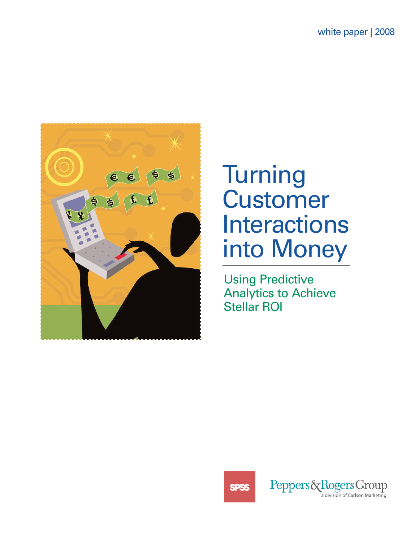

# **Turning** Customer Interactions into Money

Using Predictive Analytics to Achieve Stellar ROI



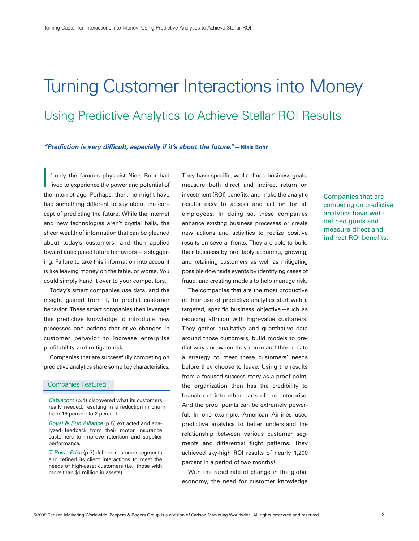# Turning Customer Interactions into Money Using Predictive Analytics to Achieve Stellar ROI Results

#### *"Prediction is very difficult, especially if it's about the future."—Niels Bohr*

f only the famous physicist Niels Bohr had lived to experience the power and potential of the Internet age. Perhaps, then, he might have had something different to say about the concept of predicting the future. While the Internet and new technologies aren't crystal balls, the sheer wealth of information that can be gleaned about today's customers—and then applied toward anticipated future behaviors—is staggering. Failure to take this information into account is like leaving money on the table, or worse. You could simply hand it over to your competitors. I

Today's smart companies use data, and the insight gained from it, to predict customer behavior. These smart companies then leverage this predictive knowledge to introduce new processes and actions that drive changes in customer behavior to increase enterprise profitability and mitigate risk.

Companies that are successfully competing on predictive analytics share some key characteristics.

#### Companies Featured

Cablecom (p.4) discovered what its customers really needed, resulting in a reduction in churn from 19 percent to 2 percent.

Royal & Sun Alliance (p.5) extracted and analyzed feedback from their motor insurance customers to improve retention and supplier performance.

T. Rowe Price (p.7) defined customer segments and refined its client interactions to meet the needs of high-asset customers (i.e., those with more than \$1 million in assets).

They have specific, well-defined business goals, measure both direct and indirect return on investment (ROI) benefits, and make the analytic results easy to access and act on for all employees. In doing so, these companies enhance existing business processes or create new actions and activities to realize positive results on several fronts. They are able to build their business by profitably acquiring, growing, and retaining customers as well as mitigating possible downside events by identifying cases of fraud, and creating models to help manage risk.

The companies that are the most productive in their use of predictive analytics start with a targeted, specific business objective—such as reducing attrition with high-value customers. They gather qualitative and quantitative data around those customers, build models to predict why and when they churn and then create a strategy to meet these customers' needs before they choose to leave. Using the results from a focused success story as a proof point, the organization then has the credibility to branch out into other parts of the enterprise. And the proof points can be extremely powerful. In one example, American Airlines used predictive analytics to better understand the relationship between various customer segments and differential flight patterns. They achieved sky-high ROI results of nearly 1,200 percent in a period of two months1.

With the rapid rate of change in the global economy, the need for customer knowledge Companies that are competing on predictive analytics have welldefined goals and measure direct and indirect ROI benefits.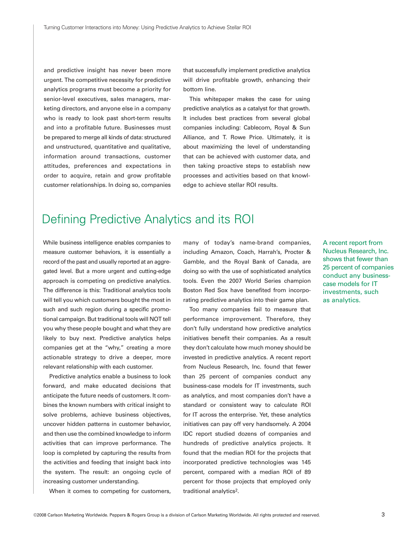and predictive insight has never been more urgent. The competitive necessity for predictive analytics programs must become a priority for senior-level executives, sales managers, marketing directors, and anyone else in a company who is ready to look past short-term results and into a profitable future. Businesses must be prepared to merge all kinds of data: structured and unstructured, quantitative and qualitative, information around transactions, customer attitudes, preferences and expectations in order to acquire, retain and grow profitable customer relationships. In doing so, companies

that successfully implement predictive analytics will drive profitable growth, enhancing their bottom line.

This whitepaper makes the case for using predictive analytics as a catalyst for that growth. It includes best practices from several global companies including: Cablecom, Royal & Sun Alliance, and T. Rowe Price. Ultimately, it is about maximizing the level of understanding that can be achieved with customer data, and then taking proactive steps to establish new processes and activities based on that knowledge to achieve stellar ROI results.

## Defining Predictive Analytics and its ROI

While business intelligence enables companies to measure customer behaviors, it is essentially a record of the past and usually reported at an aggregated level. But a more urgent and cutting-edge approach is competing on predictive analytics. The difference is this: Traditional analytics tools will tell you which customers bought the most in such and such region during a specific promotional campaign. But traditional tools will NOT tell you why these people bought and what they are likely to buy next. Predictive analytics helps companies get at the "why," creating a more actionable strategy to drive a deeper, more relevant relationship with each customer.

Predictive analytics enable a business to look forward, and make educated decisions that anticipate the future needs of customers. It combines the known numbers with critical insight to solve problems, achieve business objectives, uncover hidden patterns in customer behavior, and then use the combined knowledge to inform activities that can improve performance. The loop is completed by capturing the results from the activities and feeding that insight back into the system. The result: an ongoing cycle of increasing customer understanding.

When it comes to competing for customers,

many of today's name-brand companies, including Amazon, Coach, Harrah's, Procter & Gamble, and the Royal Bank of Canada, are doing so with the use of sophisticated analytics tools. Even the 2007 World Series champion Boston Red Sox have benefited from incorporating predictive analytics into their game plan.

Too many companies fail to measure that performance improvement. Therefore, they don't fully understand how predictive analytics initiatives benefit their companies. As a result they don't calculate how much money should be invested in predictive analytics. A recent report from Nucleus Research, Inc. found that fewer than 25 percent of companies conduct any business-case models for IT investments, such as analytics, and most companies don't have a standard or consistent way to calculate ROI for IT across the enterprise. Yet, these analytics initiatives can pay off very handsomely. A 2004 IDC report studied dozens of companies and hundreds of predictive analytics projects. It found that the median ROI for the projects that incorporated predictive technologies was 145 percent, compared with a median ROI of 89 percent for those projects that employed only traditional analytics2.

A recent report from Nucleus Research, Inc. shows that fewer than 25 percent of companies conduct any businesscase models for IT investments, such as analytics.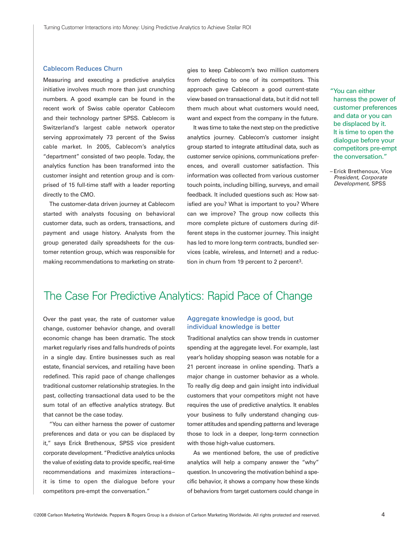#### Cablecom Reduces Churn

Measuring and executing a predictive analytics initiative involves much more than just crunching numbers. A good example can be found in the recent work of Swiss cable operator Cablecom and their technology partner SPSS. Cablecom is Switzerland's largest cable network operator serving approximately 73 percent of the Swiss cable market. In 2005, Cablecom's analytics "department" consisted of two people. Today, the analytics function has been transformed into the customer insight and retention group and is comprised of 15 full-time staff with a leader reporting directly to the CMO.

The customer-data driven journey at Cablecom started with analysts focusing on behavioral customer data, such as orders, transactions, and payment and usage history. Analysts from the group generated daily spreadsheets for the customer retention group, which was responsible for making recommendations to marketing on strategies to keep Cablecom's two million customers from defecting to one of its competitors. This approach gave Cablecom a good current-state view based on transactional data, but it did not tell them much about what customers would need, want and expect from the company in the future.

It was time to take the next step on the predictive analytics journey. Cablecom's customer insight group started to integrate attitudinal data, such as customer service opinions, communications preferences, and overall customer satisfaction. This information was collected from various customer touch points, including billing, surveys, and email feedback. It included questions such as: How satisfied are you? What is important to you? Where can we improve? The group now collects this more complete picture of customers during different steps in the customer journey. This insight has led to more long-term contracts, bundled services (cable, wireless, and Internet) and a reduction in churn from 19 percent to 2 percent3.

"You can either harness the power of customer preferences and data or you can be displaced by it. It is time to open the dialogue before your competitors pre-empt the conversation."

– Erick Brethenoux, Vice President, Corporate Development, SPSS

## The Case For Predictive Analytics: Rapid Pace of Change

Over the past year, the rate of customer value change, customer behavior change, and overall economic change has been dramatic. The stock market regularly rises and falls hundreds of points in a single day. Entire businesses such as real estate, financial services, and retailing have been redefined. This rapid pace of change challenges traditional customer relationship strategies. In the past, collecting transactional data used to be the sum total of an effective analytics strategy. But that cannot be the case today.

"You can either harness the power of customer preferences and data or you can be displaced by it," says Erick Brethenoux, SPSS vice president corporate development. "Predictive analytics unlocks the value of existing data to provide specific, real-time recommendations and maximizes interactions– it is time to open the dialogue before your competitors pre-empt the conversation."

### Aggregate knowledge is good, but individual knowledge is better

Traditional analytics can show trends in customer spending at the aggregate level. For example, last year's holiday shopping season was notable for a 21 percent increase in online spending. That's a major change in customer behavior as a whole. To really dig deep and gain insight into individual customers that your competitors might not have requires the use of predictive analytics. It enables your business to fully understand changing customer attitudes and spending patterns and leverage those to lock in a deeper, long-term connection with those high-value customers.

As we mentioned before, the use of predictive analytics will help a company answer the "why" question. In uncovering the motivation behind a specific behavior, it shows a company how these kinds of behaviors from target customers could change in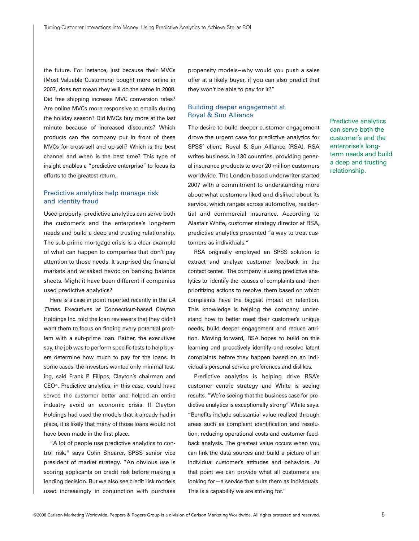the future. For instance, just because their MVCs (Most Valuable Customers) bought more online in 2007, does not mean they will do the same in 2008. Did free shipping increase MVC conversion rates? Are online MVCs more responsive to emails during the holiday season? Did MVCs buy more at the last minute because of increased discounts? Which products can the company put in front of these MVCs for cross-sell and up-sell? Which is the best channel and when is the best time? This type of insight enables a "predictive enterprise" to focus its efforts to the greatest return.

### Predictive analytics help manage risk and identity fraud

Used properly, predictive analytics can serve both the customer's and the enterprise's long-term needs and build a deep and trusting relationship. The sub-prime mortgage crisis is a clear example of what can happen to companies that don't pay attention to those needs. It surprised the financial markets and wreaked havoc on banking balance sheets. Might it have been different if companies used predictive analytics?

Here is a case in point reported recently in the LA Times. Executives at Connecticut-based Clayton Holdings Inc. told the loan reviewers that they didn't want them to focus on finding every potential problem with a sub-prime loan. Rather, the executives say, the job was to perform specific tests to help buyers determine how much to pay for the loans. In some cases, the investors wanted only minimal testing, said Frank P. Filipps, Clayton's chairman and CEO4. Predictive analytics, in this case, could have served the customer better and helped an entire industry avoid an economic crisis. If Clayton Holdings had used the models that it already had in place, it is likely that many of those loans would not have been made in the first place.

"A lot of people use predictive analytics to control risk," says Colin Shearer, SPSS senior vice president of market strategy. "An obvious use is scoring applicants on credit risk before making a lending decision. But we also see credit risk models used increasingly in conjunction with purchase

propensity models–why would you push a sales offer at a likely buyer, if you can also predict that they won't be able to pay for it?"

### Building deeper engagement at Royal & Sun Alliance

The desire to build deeper customer engagement drove the urgent case for predictive analytics for SPSS' client, Royal & Sun Alliance (RSA). RSA writes business in 130 countries, providing general insurance products to over 20 million customers worldwide. The London-based underwriter started 2007 with a commitment to understanding more about what customers liked and disliked about its service, which ranges across automotive, residential and commercial insurance. According to Alastair White, customer strategy director at RSA, predictive analytics presented "a way to treat customers as individuals."

RSA originally employed an SPSS solution to extract and analyze customer feedback in the contact center. The company is using predictive analytics to identify the causes of complaints and then prioritizing actions to resolve them based on which complaints have the biggest impact on retention. This knowledge is helping the company understand how to better meet their customer's unique needs, build deeper engagement and reduce attrition. Moving forward, RSA hopes to build on this learning and proactively identify and resolve latent complaints before they happen based on an individual's personal service preferences and dislikes.

Predictive analytics is helping drive RSA's customer centric strategy and White is seeing results. "We're seeing that the business case for predictive analytics is exceptionally strong" White says. "Benefits include substantial value realized through areas such as complaint identification and resolution, reducing operational costs and customer feedback analysis. The greatest value occurs when you can link the data sources and build a picture of an individual customer's attitudes and behaviors. At that point we can provide what all customers are looking for—a service that suits them as individuals. This is a capability we are striving for."

Predictive analytics can serve both the customer's and the enterprise's longterm needs and build a deep and trusting relationship.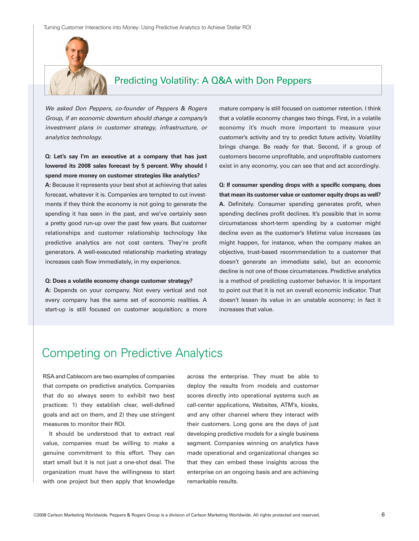

### Predicting Volatility: A Q&A with Don Peppers

We asked Don Peppers, co-founder of Peppers & Rogers Group, if an economic downturn should change a company's investment plans in customer strategy, infrastructure, or analytics technology.

### *Q: Let's say I'm an executive at a company that has just lowered its 2008 sales forecast by 5 percent. Why should I spend more money on customer strategies like analytics?*

*A:* Because it represents your best shot at achieving that sales forecast, whatever it is. Companies are tempted to cut investments if they think the economy is not going to generate the spending it has seen in the past, and we've certainly seen a pretty good run-up over the past few years. But customer relationships and customer relationship technology like predictive analytics are not cost centers. They're profit generators. A well-executed relationship marketing strategy increases cash flow immediately, in my experience.

#### *Q: Does a volatile economy change customer strategy?*

*A:* Depends on your company. Not every vertical and not every company has the same set of economic realities. A start-up is still focused on customer acquisition; a more mature company is still focused on customer retention. I think that a volatile economy changes two things. First, in a volatile economy it's much more important to measure your customer's activity and try to predict future activity. Volatility brings change. Be ready for that. Second, if a group of customers become unprofitable, and unprofitable customers exist in any economy, you can see that and act accordingly.

*Q: If consumer spending drops with a specific company, does that mean its customer value or customer equity drops as well? A.* Definitely. Consumer spending generates profit, when spending declines profit declines. It's possible that in some circumstances short-term spending by a customer might decline even as the customer's lifetime value increases (as might happen, for instance, when the company makes an objective, trust-based recommendation to a customer that doesn't generate an immediate sale), but an economic decline is not one of those circumstances. Predictive analytics is a method of predicting customer behavior. It is important to point out that it is not an overall economic indicator. That doesn't lessen its value in an unstable economy; in fact it increases that value.

# Competing on Predictive Analytics

RSA and Cablecom are two examples of companies that compete on predictive analytics. Companies that do so always seem to exhibit two best practices: 1) they establish clear, well-defined goals and act on them, and 2) they use stringent measures to monitor their ROI.

It should be understood that to extract real value, companies must be willing to make a genuine commitment to this effort. They can start small but it is not just a one-shot deal. The organization must have the willingness to start with one project but then apply that knowledge

across the enterprise. They must be able to deploy the results from models and customer scores directly into operational systems such as call-center applications, Websites, ATM's, kiosks, and any other channel where they interact with their customers. Long gone are the days of just developing predictive models for a single business segment. Companies winning on analytics have made operational and organizational changes so that they can embed these insights across the enterprise on an ongoing basis and are achieving remarkable results.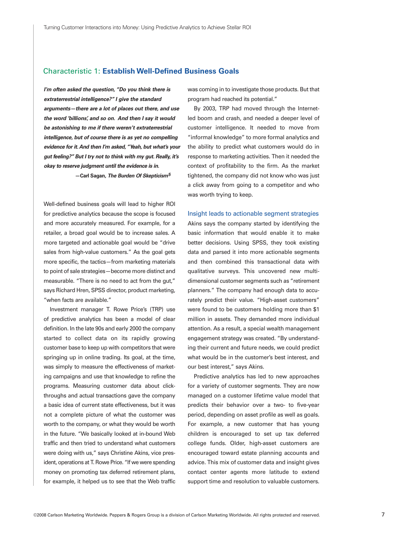### Characteristic 1: *Establish Well-Defined Business Goals*

*I'm often asked the question, "Do you think there is extraterrestrial intelligence?" I give the standard arguments—there are a lot of places out there, and use the word 'billions', and so on. And then I say it would be astonishing to me if there weren't extraterrestrial intelligence, but of course there is as yet no compelling evidence for it.And then I'm asked, "Yeah, but what's your gut feeling?" But I try not to think with my gut. Really, it's okay to reserve judgment until the evidence is in. —Carl Sagan, The Burden Of Skepticism<sup>5</sup>*

Well-defined business goals will lead to higher ROI for predictive analytics because the scope is focused and more accurately measured. For example, for a retailer, a broad goal would be to increase sales. A more targeted and actionable goal would be "drive sales from high-value customers." As the goal gets more specific, the tactics—from marketing materials to point of sale strategies—become more distinct and measurable. "There is no need to act from the gut," says Richard Hren, SPSS director, product marketing, "when facts are available."

Investment manager T. Rowe Price's (TRP) use of predictive analytics has been a model of clear definition. In the late 90s and early 2000 the company started to collect data on its rapidly growing customer base to keep up with competitors that were springing up in online trading. Its goal, at the time, was simply to measure the effectiveness of marketing campaigns and use that knowledge to refine the programs. Measuring customer data about clickthroughs and actual transactions gave the company a basic idea of current state effectiveness, but it was not a complete picture of what the customer was worth to the company, or what they would be worth in the future. "We basically looked at in-bound Web traffic and then tried to understand what customers were doing with us," says Christine Akins, vice president, operations at T. Rowe Price. "If we were spending money on promoting tax deferred retirement plans, for example, it helped us to see that the Web traffic

was coming in to investigate those products. But that program had reached its potential."

By 2003, TRP had moved through the Internetled boom and crash, and needed a deeper level of customer intelligence. It needed to move from "informal knowledge" to more formal analytics and the ability to predict what customers would do in response to marketing activities. Then it needed the context of profitability to the firm. As the market tightened, the company did not know who was just a click away from going to a competitor and who was worth trying to keep.

Insight leads to actionable segment strategies Akins says the company started by identifying the basic information that would enable it to make better decisions. Using SPSS, they took existing data and parsed it into more actionable segments and then combined this transactional data with qualitative surveys. This uncovered new multidimensional customer segments such as "retirement planners." The company had enough data to accurately predict their value. "High-asset customers" were found to be customers holding more than \$1 million in assets. They demanded more individual attention. As a result, a special wealth management engagement strategy was created. "By understanding their current and future needs, we could predict what would be in the customer's best interest, and our best interest," says Akins.

Predictive analytics has led to new approaches for a variety of customer segments. They are now managed on a customer lifetime value model that predicts their behavior over a two- to five-year period, depending on asset profile as well as goals. For example, a new customer that has young children is encouraged to set up tax deferred college funds. Older, high-asset customers are encouraged toward estate planning accounts and advice. This mix of customer data and insight gives contact center agents more latitude to extend support time and resolution to valuable customers.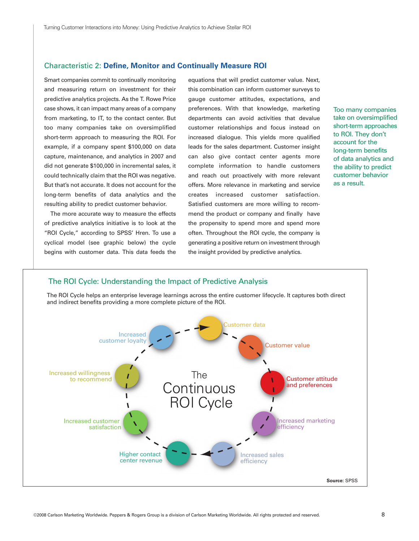### Characteristic 2: *Define, Monitor and Continually Measure ROI*

Smart companies commit to continually monitoring and measuring return on investment for their predictive analytics projects. As the T. Rowe Price case shows, it can impact many areas of a company from marketing, to IT, to the contact center. But too many companies take on oversimplified short-term approach to measuring the ROI. For example, if a company spent \$100,000 on data capture, maintenance, and analytics in 2007 and did not generate \$100,000 in incremental sales, it could technically claim that the ROI was negative. But that's not accurate. It does not account for the long-term benefits of data analytics and the resulting ability to predict customer behavior.

The more accurate way to measure the effects of predictive analytics initiative is to look at the "ROI Cycle," according to SPSS' Hren. To use a cyclical model (see graphic below) the cycle begins with customer data. This data feeds the

equations that will predict customer value. Next, this combination can inform customer surveys to gauge customer attitudes, expectations, and preferences. With that knowledge, marketing departments can avoid activities that devalue customer relationships and focus instead on increased dialogue. This yields more qualified leads for the sales department. Customer insight can also give contact center agents more complete information to handle customers and reach out proactively with more relevant offers. More relevance in marketing and service creates increased customer satisfaction. Satisfied customers are more willing to recommend the product or company and finally have the propensity to spend more and spend more often. Throughout the ROI cycle, the company is generating a positive return on investment through the insight provided by predictive analytics.

Too many companies take on oversimplified short-term approaches to ROI. They don't account for the long-term benefits of data analytics and the ability to predict customer behavior as a result.

# The ROI Cycle: Understanding the Impact of Predictive Analysis

The ROI Cycle helps an enterprise leverage learnings across the entire customer lifecycle. It captures both direct and indirect benefits providing a more complete picture of the ROI.

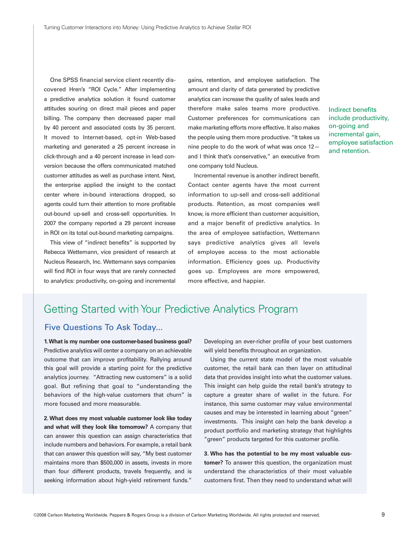One SPSS financial service client recently discovered Hren's "ROI Cycle." After implementing a predictive analytics solution it found customer attitudes souring on direct mail pieces and paper billing. The company then decreased paper mail by 40 percent and associated costs by 35 percent. It moved to Internet-based, opt-in Web-based marketing and generated a 25 percent increase in click-through and a 40 percent increase in lead conversion because the offers communicated matched customer attitudes as well as purchase intent. Next, the enterprise applied the insight to the contact center where in-bound interactions dropped, so agents could turn their attention to more profitable out-bound up-sell and cross-sell opportunities. In 2007 the company reported a 29 percent increase in ROI on its total out-bound marketing campaigns.

This view of "indirect benefits" is supported by Rebecca Wettemann, vice president of research at Nucleus Research, Inc. Wettemann says companies will find ROI in four ways that are rarely connected to analytics: productivity, on-going and incremental gains, retention, and employee satisfaction. The amount and clarity of data generated by predictive analytics can increase the quality of sales leads and therefore make sales teams more productive. Customer preferences for communications can make marketing efforts more effective. It also makes the people using them more productive. "It takes us nine people to do the work of what was once 12 and I think that's conservative," an executive from one company told Nucleus.

Incremental revenue is another indirect benefit. Contact center agents have the most current information to up-sell and cross-sell additional products. Retention, as most companies well know, is more efficient than customer acquisition, and a major benefit of predictive analytics. In the area of employee satisfaction, Wettemann says predictive analytics gives all levels of employee access to the most actionable information. Efficiency goes up. Productivity goes up. Employees are more empowered, more effective, and happier.

Indirect benefits include productivity, on-going and incremental gain, employee satisfaction and retention.

### Getting Started with Your Predictive Analytics Program

### Five Questions To Ask Today...

*1.What is my number one customer-based business goal?* Predictive analytics will center a company on an achievable outcome that can improve profitability. Rallying around this goal will provide a starting point for the predictive analytics journey. "Attracting new customers" is a solid goal. But refining that goal to "understanding the behaviors of the high-value customers that churn" is more focused and more measurable.

*2. What does my most valuable customer look like today and what will they look like tomorrow?* A company that can answer this question can assign characteristics that include numbers and behaviors. For example, a retail bank that can answer this question will say, "My best customer maintains more than \$500,000 in assets, invests in more than four different products, travels frequently, and is seeking information about high-yield retirement funds."

Developing an ever-richer profile of your best customers will yield benefits throughout an organization.

Using the current state model of the most valuable customer, the retail bank can then layer on attitudinal data that provides insight into what the customer values. This insight can help guide the retail bank's strategy to capture a greater share of wallet in the future. For instance, this same customer may value environmental causes and may be interested in learning about "green" investments. This insight can help the bank develop a product portfolio and marketing strategy that highlights "green" products targeted for this customer profile.

*3. Who has the potential to be my most valuable customer?* To answer this question, the organization must understand the characteristics of their most valuable customers first. Then they need to understand what will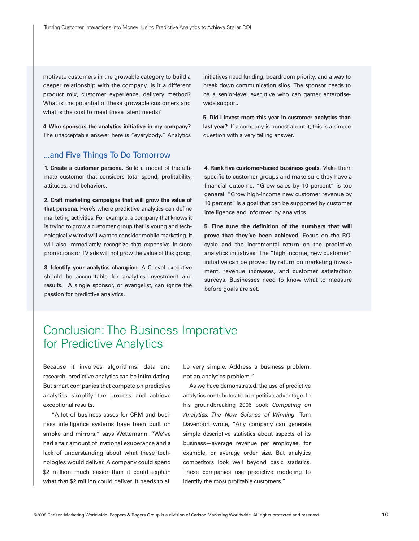motivate customers in the growable category to build a deeper relationship with the company. Is it a different product mix, customer experience, delivery method? What is the potential of these growable customers and what is the cost to meet these latent needs?

*4. Who sponsors the analytics initiative in my company?* The unacceptable answer here is "everybody." Analytics

### ...and Five Things To Do Tomorrow

*1. Create a customer persona.* Build a model of the ultimate customer that considers total spend, profitability, attitudes, and behaviors.

*2. Craft marketing campaigns that will grow the value of that persona.* Here's where predictive analytics can define marketing activities. For example, a company that knows it is trying to grow a customer group that is young and technologically wired will want to consider mobile marketing. It will also immediately recognize that expensive in-store promotions or TV ads will not grow the value of this group.

*3. Identify your analytics champion.* A C-level executive should be accountable for analytics investment and results. A single sponsor, or evangelist, can ignite the passion for predictive analytics.

initiatives need funding, boardroom priority, and a way to break down communication silos. The sponsor needs to be a senior-level executive who can garner enterprisewide support.

*5. Did I invest more this year in customer analytics than last year?* If a company is honest about it, this is a simple question with a very telling answer.

*4. Rank five customer-based business goals.* Make them specific to customer groups and make sure they have a financial outcome. "Grow sales by 10 percent" is too general. "Grow high-income new customer revenue by 10 percent" is a goal that can be supported by customer intelligence and informed by analytics.

*5. Fine tune the definition of the numbers that will prove that they've been achieved.* Focus on the ROI cycle and the incremental return on the predictive analytics initiatives. The "high income, new customer" initiative can be proved by return on marketing investment, revenue increases, and customer satisfaction surveys. Businesses need to know what to measure before goals are set.

# Conclusion: The Business Imperative for Predictive Analytics

Because it involves algorithms, data and research, predictive analytics can be intimidating. But smart companies that compete on predictive analytics simplify the process and achieve exceptional results.

"A lot of business cases for CRM and business intelligence systems have been built on smoke and mirrors," says Wettemann. "We've had a fair amount of irrational exuberance and a lack of understanding about what these technologies would deliver. A company could spend \$2 million much easier than it could explain what that \$2 million could deliver. It needs to all

be very simple. Address a business problem, not an analytics problem."

As we have demonstrated, the use of predictive analytics contributes to competitive advantage. In his groundbreaking 2006 book Competing on Analytics, The New Science of Winning, Tom Davenport wrote, "Any company can generate simple descriptive statistics about aspects of its business—average revenue per employee, for example, or average order size. But analytics competitors look well beyond basic statistics. These companies use predictive modeling to identify the most profitable customers."